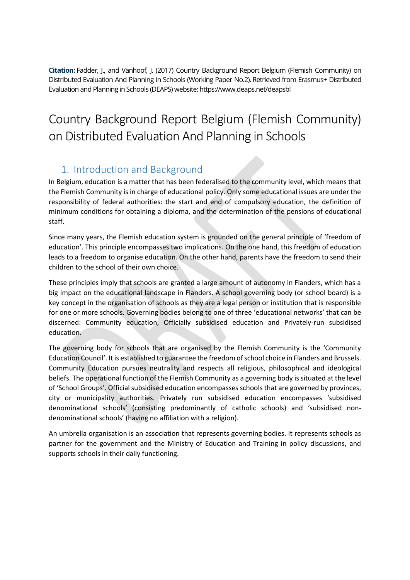**Citation:** Fadder, J., and Vanhoof, J. (2017) Country Background Report Belgium (Flemish Community) on Distributed Evaluation And Planning in Schools (Working Paper No.2). Retrieved from Erasmus+ Distributed Evaluation and Planning in Schools (DEAPS) website: https://www.deaps.net/deapsbl

# Country Background Report Belgium (Flemish Community) on Distributed Evaluation And Planning in Schools

### 1. Introduction and Background

In Belgium, education is a matter that has been federalised to the community level, which means that the Flemish Community is in charge of educational policy. Only some educational issues are under the responsibility of federal authorities: the start and end of compulsory education, the definition of minimum conditions for obtaining a diploma, and the determination of the pensions of educational staff.

Since many years, the Flemish education system is grounded on the general principle of 'freedom of education'. This principle encompasses two implications. On the one hand, this freedom of education leads to a freedom to organise education. On the other hand, parents have the freedom to send their children to the school of their own choice.

These principles imply that schools are granted a large amount of autonomy in Flanders, which has a big impact on the educational landscape in Flanders. A school governing body (or school board) is a key concept in the organisation of schools as they are a legal person or institution that is responsible for one or more schools. Governing bodies belong to one of three 'educational networks' that can be discerned: Community education, Officially subsidised education and Privately-run subsidised education.

The governing body for schools that are organised by the Flemish Community is the 'Community Education Council'. It is established to guarantee the freedom of school choice in Flanders and Brussels. Community Education pursues neutrality and respects all religious, philosophical and ideological beliefs. The operational function of the Flemish Community as a governing body is situated at the level of 'School Groups'. Official subsidised education encompasses schools that are governed by provinces, city or municipality authorities. Privately run subsidised education encompasses 'subsidised denominational schools' (consisting predominantly of catholic schools) and 'subsidised nondenominational schools' (having no affiliation with a religion).

An umbrella organisation is an association that represents governing bodies. It represents schools as partner for the government and the Ministry of Education and Training in policy discussions, and supports schools in their daily functioning.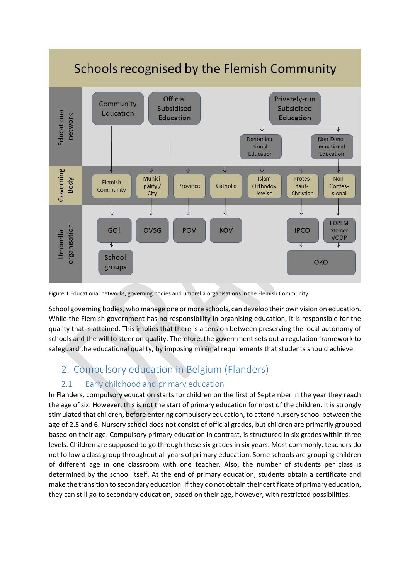

Figure 1 Educational networks, governing bodies and umbrella organisations in the Flemish Community

School governing bodies, who manage one or more schools, can develop their own vision on education. While the Flemish government has no responsibility in organising education, it is responsible for the quality that is attained. This implies that there is a tension between preserving the local autonomy of schools and the will to steer on quality. Therefore, the government sets out a regulation framework to safeguard the educational quality, by imposing minimal requirements that students should achieve.

### 2. Compulsory education in Belgium (Flanders)

#### 2.1 Early childhood and primary education

In Flanders, compulsory education starts for children on the first of September in the year they reach the age of six. However, this is not the start of primary education for most of the children. It is strongly stimulated that children, before entering compulsory education, to attend nursery school between the age of 2.5 and 6. Nursery school does not consist of official grades, but children are primarily grouped based on their age. Compulsory primary education in contrast, is structured in six grades within three levels. Children are supposed to go through these six grades in six years. Most commonly, teachers do not follow a class group throughout all years of primary education. Some schools are grouping children of different age in one classroom with one teacher. Also, the number of students per class is determined by the school itself. At the end of primary education, students obtain a certificate and make the transition to secondary education. If they do not obtain their certificate of primary education, they can still go to secondary education, based on their age, however, with restricted possibilities.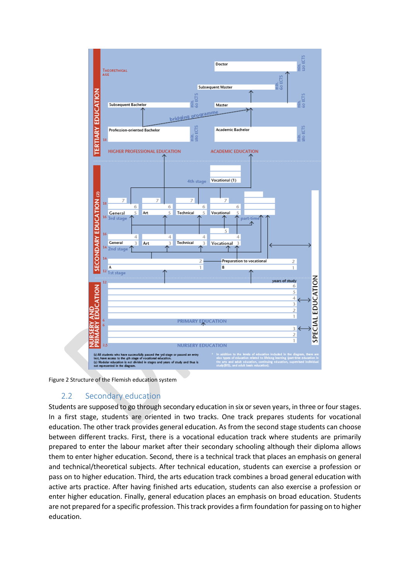

<span id="page-2-0"></span>Figure 2 Structure of the Flemish education system

#### 2.2 Secondary education

Students are supposed to go through secondary education in six or seven years, in three or four stages. In a first stage, students are oriented in two tracks. One track prepares students for vocational education. The other track provides general education. As from the second stage students can choose between different tracks. First, there is a vocational education track where students are primarily prepared to enter the labour market after their secondary schooling although their diploma allows them to enter higher education. Second, there is a technical track that places an emphasis on general and technical/theoretical subjects. After technical education, students can exercise a profession or pass on to higher education. Third, the arts education track combines a broad general education with active arts practice. After having finished arts education, students can also exercise a profession or enter higher education. Finally, general education places an emphasis on broad education. Students are not prepared for a specific profession. This track provides a firm foundation for passing on to higher education.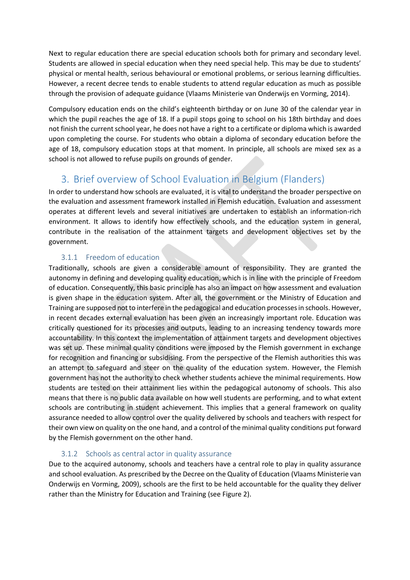Next to regular education there are special education schools both for primary and secondary level. Students are allowed in special education when they need special help. This may be due to students' physical or mental health, serious behavioural or emotional problems, or serious learning difficulties. However, a recent decree tends to enable students to attend regular education as much as possible through the provision of adequate guidance (Vlaams Ministerie van Onderwijs en Vorming, 2014).

Compulsory education ends on the child's eighteenth birthday or on June 30 of the calendar year in which the pupil reaches the age of 18. If a pupil stops going to school on his 18th birthday and does not finish the current school year, he does not have a right to a certificate or diploma which is awarded upon completing the course. For students who obtain a diploma of secondary education before the age of 18, compulsory education stops at that moment. In principle, all schools are mixed sex as a school is not allowed to refuse pupils on grounds of gender.

## 3. Brief overview of School Evaluation in Belgium (Flanders)

In order to understand how schools are evaluated, it is vital to understand the broader perspective on the evaluation and assessment framework installed in Flemish education. Evaluation and assessment operates at different levels and several initiatives are undertaken to establish an information-rich environment. It allows to identify how effectively schools, and the education system in general, contribute in the realisation of the attainment targets and development objectives set by the government.

#### 3.1.1 Freedom of education

Traditionally, schools are given a considerable amount of responsibility. They are granted the autonomy in defining and developing quality education, which is in line with the principle of Freedom of education. Consequently, this basic principle has also an impact on how assessment and evaluation is given shape in the education system. After all, the government or the Ministry of Education and Training are supposed not to interfere in the pedagogical and education processesin schools. However, in recent decades external evaluation has been given an increasingly important role. Education was critically questioned for its processes and outputs, leading to an increasing tendency towards more accountability. In this context the implementation of attainment targets and development objectives was set up. These minimal quality conditions were imposed by the Flemish government in exchange for recognition and financing or subsidising. From the perspective of the Flemish authorities this was an attempt to safeguard and steer on the quality of the education system. However, the Flemish government has not the authority to check whether students achieve the minimal requirements. How students are tested on their attainment lies within the pedagogical autonomy of schools. This also means that there is no public data available on how well students are performing, and to what extent schools are contributing in student achievement. This implies that a general framework on quality assurance needed to allow control over the quality delivered by schools and teachers with respect for their own view on quality on the one hand, and a control of the minimal quality conditions put forward by the Flemish government on the other hand.

#### 3.1.2 Schools as central actor in quality assurance

Due to the acquired autonomy, schools and teachers have a central role to play in quality assurance and school evaluation. As prescribed by the Decree on the Quality of Education (Vlaams Ministerie van Onderwijs en Vorming, 2009), schools are the first to be held accountable for the quality they deliver rather than the Ministry for Education and Training (see [Figure 2\)](#page-2-0).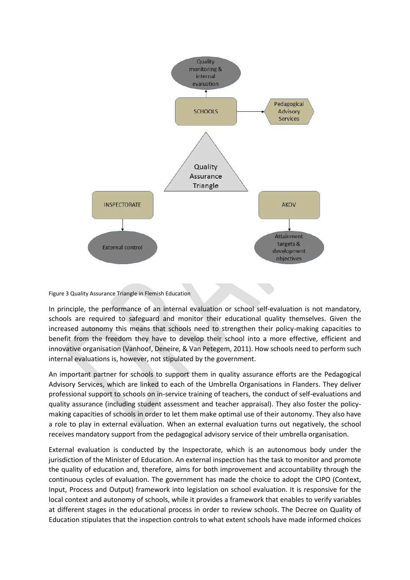

#### Figure 3 Quality Assurance Triangle in Flemish Education

In principle, the performance of an internal evaluation or school self-evaluation is not mandatory, schools are required to safeguard and monitor their educational quality themselves. Given the increased autonomy this means that schools need to strengthen their policy-making capacities to benefit from the freedom they have to develop their school into a more effective, efficient and innovative organisation (Vanhoof, Deneire, & Van Petegem, 2011). How schools need to perform such internal evaluations is, however, not stipulated by the government.

An important partner for schools to support them in quality assurance efforts are the Pedagogical Advisory Services, which are linked to each of the Umbrella Organisations in Flanders. They deliver professional support to schools on in-service training of teachers, the conduct of self-evaluations and quality assurance (including student assessment and teacher appraisal). They also foster the policymaking capacities of schools in order to let them make optimal use of their autonomy. They also have a role to play in external evaluation. When an external evaluation turns out negatively, the school receives mandatory support from the pedagogical advisory service of their umbrella organisation.

External evaluation is conducted by the Inspectorate, which is an autonomous body under the jurisdiction of the Minister of Education. An external inspection has the task to monitor and promote the quality of education and, therefore, aims for both improvement and accountability through the continuous cycles of evaluation. The government has made the choice to adopt the CIPO (Context, Input, Process and Output) framework into legislation on school evaluation. It is responsive for the local context and autonomy of schools, while it provides a framework that enables to verify variables at different stages in the educational process in order to review schools. The Decree on Quality of Education stipulates that the inspection controls to what extent schools have made informed choices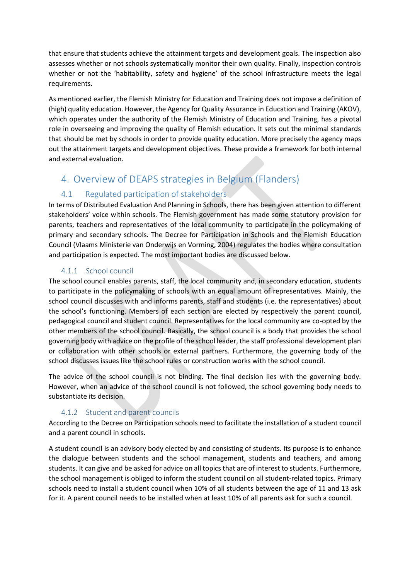that ensure that students achieve the attainment targets and development goals. The inspection also assesses whether or not schools systematically monitor their own quality. Finally, inspection controls whether or not the 'habitability, safety and hygiene' of the school infrastructure meets the legal requirements.

As mentioned earlier, the Flemish Ministry for Education and Training does not impose a definition of (high) quality education. However, the Agency for Quality Assurance in Education and Training (AKOV), which operates under the authority of the Flemish Ministry of Education and Training, has a pivotal role in overseeing and improving the quality of Flemish education. It sets out the minimal standards that should be met by schools in order to provide quality education. More precisely the agency maps out the attainment targets and development objectives. These provide a framework for both internal and external evaluation.

### 4. Overview of DEAPS strategies in Belgium (Flanders)

### 4.1 Regulated participation of stakeholders

In terms of Distributed Evaluation And Planning in Schools, there has been given attention to different stakeholders' voice within schools. The Flemish government has made some statutory provision for parents, teachers and representatives of the local community to participate in the policymaking of primary and secondary schools. The Decree for Participation in Schools and the Flemish Education Council (Vlaams Ministerie van Onderwijs en Vorming, 2004) regulates the bodies where consultation and participation is expected. The most important bodies are discussed below.

#### 4.1.1 School council

The school council enables parents, staff, the local community and, in secondary education, students to participate in the policymaking of schools with an equal amount of representatives. Mainly, the school council discusses with and informs parents, staff and students (i.e. the representatives) about the school's functioning. Members of each section are elected by respectively the parent council, pedagogical council and student council. Representatives for the local community are co-opted by the other members of the school council. Basically, the school council is a body that provides the school governing body with advice on the profile of the school leader, the staff professional development plan or collaboration with other schools or external partners. Furthermore, the governing body of the school discusses issues like the school rules or construction works with the school council.

The advice of the school council is not binding. The final decision lies with the governing body. However, when an advice of the school council is not followed, the school governing body needs to substantiate its decision.

#### 4.1.2 Student and parent councils

According to the Decree on Participation schools need to facilitate the installation of a student council and a parent council in schools.

A student council is an advisory body elected by and consisting of students. Its purpose is to enhance the dialogue between students and the school management, students and teachers, and among students. It can give and be asked for advice on all topics that are of interest to students. Furthermore, the school management is obliged to inform the student council on all student-related topics. Primary schools need to install a student council when 10% of all students between the age of 11 and 13 ask for it. A parent council needs to be installed when at least 10% of all parents ask for such a council.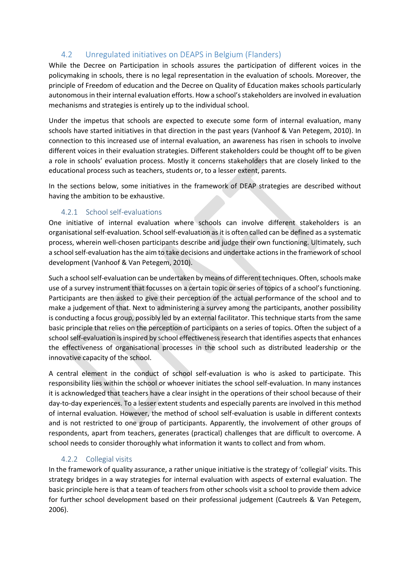### 4.2 Unregulated initiatives on DEAPS in Belgium (Flanders)

While the Decree on Participation in schools assures the participation of different voices in the policymaking in schools, there is no legal representation in the evaluation of schools. Moreover, the principle of Freedom of education and the Decree on Quality of Education makes schools particularly autonomous in their internal evaluation efforts. How a school's stakeholders are involved in evaluation mechanisms and strategies is entirely up to the individual school.

Under the impetus that schools are expected to execute some form of internal evaluation, many schools have started initiatives in that direction in the past years (Vanhoof & Van Petegem, 2010). In connection to this increased use of internal evaluation, an awareness has risen in schools to involve different voices in their evaluation strategies. Different stakeholders could be thought off to be given a role in schools' evaluation process. Mostly it concerns stakeholders that are closely linked to the educational process such as teachers, students or, to a lesser extent, parents.

In the sections below, some initiatives in the framework of DEAP strategies are described without having the ambition to be exhaustive.

#### 4.2.1 School self-evaluations

One initiative of internal evaluation where schools can involve different stakeholders is an organisational self-evaluation. School self-evaluation as it is often called can be defined as a systematic process, wherein well-chosen participants describe and judge their own functioning. Ultimately, such a school self-evaluation has the aim to take decisions and undertake actions in the framework of school development (Vanhoof & Van Petegem, 2010).

Such a school self-evaluation can be undertaken by means of different techniques. Often, schools make use of a survey instrument that focusses on a certain topic or series of topics of a school's functioning. Participants are then asked to give their perception of the actual performance of the school and to make a judgement of that. Next to administering a survey among the participants, another possibility is conducting a focus group, possibly led by an external facilitator. This technique starts from the same basic principle that relies on the perception of participants on a series of topics. Often the subject of a school self-evaluation is inspired by school effectiveness research that identifies aspects that enhances the effectiveness of organisational processes in the school such as distributed leadership or the innovative capacity of the school.

A central element in the conduct of school self-evaluation is who is asked to participate. This responsibility lies within the school or whoever initiates the school self-evaluation. In many instances it is acknowledged that teachers have a clear insight in the operations of their school because of their day-to-day experiences. To a lesser extent students and especially parents are involved in this method of internal evaluation. However, the method of school self-evaluation is usable in different contexts and is not restricted to one group of participants. Apparently, the involvement of other groups of respondents, apart from teachers, generates (practical) challenges that are difficult to overcome. A school needs to consider thoroughly what information it wants to collect and from whom.

#### 4.2.2 Collegial visits

In the framework of quality assurance, a rather unique initiative is the strategy of 'collegial' visits. This strategy bridges in a way strategies for internal evaluation with aspects of external evaluation. The basic principle here is that a team of teachers from other schools visit a school to provide them advice for further school development based on their professional judgement (Cautreels & Van Petegem, 2006).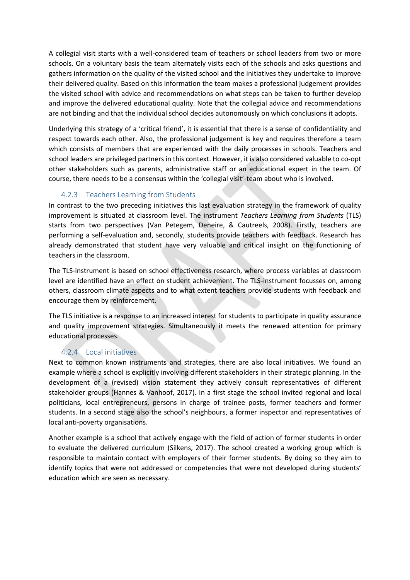A collegial visit starts with a well-considered team of teachers or school leaders from two or more schools. On a voluntary basis the team alternately visits each of the schools and asks questions and gathers information on the quality of the visited school and the initiatives they undertake to improve their delivered quality. Based on this information the team makes a professional judgement provides the visited school with advice and recommendations on what steps can be taken to further develop and improve the delivered educational quality. Note that the collegial advice and recommendations are not binding and that the individual school decides autonomously on which conclusions it adopts.

Underlying this strategy of a 'critical friend', it is essential that there is a sense of confidentiality and respect towards each other. Also, the professional judgement is key and requires therefore a team which consists of members that are experienced with the daily processes in schools. Teachers and school leaders are privileged partners in this context. However, it is also considered valuable to co-opt other stakeholders such as parents, administrative staff or an educational expert in the team. Of course, there needs to be a consensus within the 'collegial visit'-team about who is involved.

#### 4.2.3 Teachers Learning from Students

In contrast to the two preceding initiatives this last evaluation strategy in the framework of quality improvement is situated at classroom level. The instrument *Teachers Learning from Students* (TLS) starts from two perspectives (Van Petegem, Deneire, & Cautreels, 2008). Firstly, teachers are performing a self-evaluation and, secondly, students provide teachers with feedback. Research has already demonstrated that student have very valuable and critical insight on the functioning of teachers in the classroom.

The TLS-instrument is based on school effectiveness research, where process variables at classroom level are identified have an effect on student achievement. The TLS-instrument focusses on, among others, classroom climate aspects and to what extent teachers provide students with feedback and encourage them by reinforcement.

The TLS initiative is a response to an increased interest for students to participate in quality assurance and quality improvement strategies. Simultaneously it meets the renewed attention for primary educational processes.

#### 4.2.4 Local initiatives

Next to common known instruments and strategies, there are also local initiatives. We found an example where a school is explicitly involving different stakeholders in their strategic planning. In the development of a (revised) vision statement they actively consult representatives of different stakeholder groups (Hannes & Vanhoof, 2017). In a first stage the school invited regional and local politicians, local entrepreneurs, persons in charge of trainee posts, former teachers and former students. In a second stage also the school's neighbours, a former inspector and representatives of local anti-poverty organisations.

Another example is a school that actively engage with the field of action of former students in order to evaluate the delivered curriculum (Silkens, 2017). The school created a working group which is responsible to maintain contact with employers of their former students. By doing so they aim to identify topics that were not addressed or competencies that were not developed during students' education which are seen as necessary.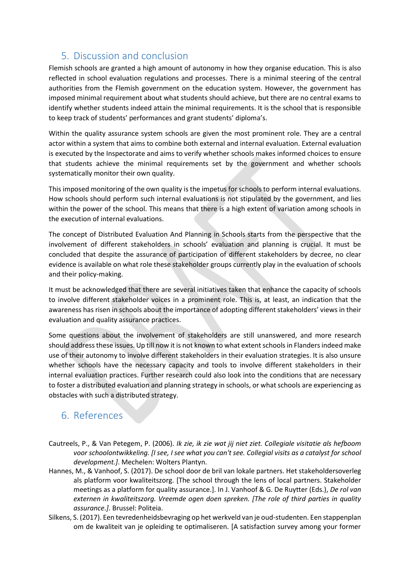### 5. Discussion and conclusion

Flemish schools are granted a high amount of autonomy in how they organise education. This is also reflected in school evaluation regulations and processes. There is a minimal steering of the central authorities from the Flemish government on the education system. However, the government has imposed minimal requirement about what students should achieve, but there are no central exams to identify whether students indeed attain the minimal requirements. It is the school that is responsible to keep track of students' performances and grant students' diploma's.

Within the quality assurance system schools are given the most prominent role. They are a central actor within a system that aims to combine both external and internal evaluation. External evaluation is executed by the Inspectorate and aims to verify whether schools makes informed choices to ensure that students achieve the minimal requirements set by the government and whether schools systematically monitor their own quality.

This imposed monitoring of the own quality is the impetus for schools to perform internal evaluations. How schools should perform such internal evaluations is not stipulated by the government, and lies within the power of the school. This means that there is a high extent of variation among schools in the execution of internal evaluations.

The concept of Distributed Evaluation And Planning in Schools starts from the perspective that the involvement of different stakeholders in schools' evaluation and planning is crucial. It must be concluded that despite the assurance of participation of different stakeholders by decree, no clear evidence is available on what role these stakeholder groups currently play in the evaluation of schools and their policy-making.

It must be acknowledged that there are several initiatives taken that enhance the capacity of schools to involve different stakeholder voices in a prominent role. This is, at least, an indication that the awareness has risen in schools about the importance of adopting different stakeholders' views in their evaluation and quality assurance practices.

Some questions about the involvement of stakeholders are still unanswered, and more research should address these issues. Up till now it is not known to what extent schools in Flanders indeed make use of their autonomy to involve different stakeholders in their evaluation strategies. It is also unsure whether schools have the necessary capacity and tools to involve different stakeholders in their internal evaluation practices. Further research could also look into the conditions that are necessary to foster a distributed evaluation and planning strategy in schools, or what schools are experiencing as obstacles with such a distributed strategy.

### 6. References

- Cautreels, P., & Van Petegem, P. (2006). *Ik zie, ik zie wat jij niet ziet. Collegiale visitatie als hefboom voor schoolontwikkeling. [I see, I see what you can't see. Collegial visits as a catalyst for school development.]*. Mechelen: Wolters Plantyn.
- Hannes, M., & Vanhoof, S. (2017). De school door de bril van lokale partners. Het stakeholdersoverleg als platform voor kwaliteitszorg. [The school through the lens of local partners. Stakeholder meetings as a platform for quality assurance.]. In J. Vanhoof & G. De Ruytter (Eds.), *De rol van externen in kwaliteitszorg. Vreemde ogen doen spreken. [The role of third parties in quality assurance.]*. Brussel: Politeia.
- Silkens, S. (2017). Een tevredenheidsbevraging op het werkveld van je oud-studenten. Een stappenplan om de kwaliteit van je opleiding te optimaliseren. [A satisfaction survey among your former